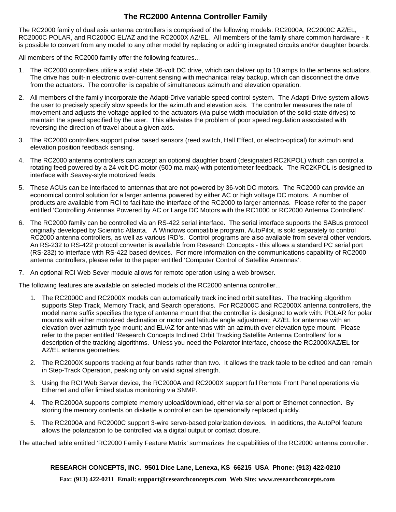## **The RC2000 Antenna Controller Family**

The RC2000 family of dual axis antenna controllers is comprised of the following models: RC2000A, RC2000C AZ/EL, RC2000C POLAR, and RC2000C EL/AZ and the RC2000X AZ/EL. All members of the family share common hardware - it is possible to convert from any model to any other model by replacing or adding integrated circuits and/or daughter boards.

All members of the RC2000 family offer the following features...

- 1. The RC2000 controllers utilize a solid state 36-volt DC drive, which can deliver up to 10 amps to the antenna actuators. The drive has built-in electronic over-current sensing with mechanical relay backup, which can disconnect the drive from the actuators. The controller is capable of simultaneous azimuth and elevation operation.
- 2. All members of the family incorporate the Adapti-Drive variable speed control system. The Adapti-Drive system allows the user to precisely specify slow speeds for the azimuth and elevation axis. The controller measures the rate of movement and adjusts the voltage applied to the actuators (via pulse width modulation of the solid-state drives) to maintain the speed specified by the user. This alleviates the problem of poor speed regulation associated with reversing the direction of travel about a given axis.
- 3. The RC2000 controllers support pulse based sensors (reed switch, Hall Effect, or electro-optical) for azimuth and elevation position feedback sensing.
- 4. The RC2000 antenna controllers can accept an optional daughter board (designated RC2KPOL) which can control a rotating feed powered by a 24 volt DC motor (500 ma max) with potentiometer feedback. The RC2KPOL is designed to interface with Seavey-style motorized feeds.
- 5. These ACUs can be interfaced to antennas that are not powered by 36-volt DC motors. The RC2000 can provide an economical control solution for a larger antenna powered by either AC or high voltage DC motors. A number of products are available from RCI to facilitate the interface of the RC2000 to larger antennas. Please refer to the paper entitled 'Controlling Antennas Powered by AC or Large DC Motors with the RC1000 or RC2000 Antenna Controllers'.
- 6. The RC2000 family can be controlled via an RS-422 serial interface. The serial interface supports the SABus protocol originally developed by Scientific Atlanta. A Windows compatible program, AutoPilot, is sold separately to control RC2000 antenna controllers, as well as various IRD's. Control programs are also available from several other vendors. An RS-232 to RS-422 protocol converter is available from Research Concepts - this allows a standard PC serial port (RS-232) to interface with RS-422 based devices. For more information on the communications capability of RC2000 antenna controllers, please refer to the paper entitled 'Computer Control of Satellite Antennas'.
- 7. An optional RCI Web Sever module allows for remote operation using a web browser.

The following features are available on selected models of the RC2000 antenna controller...

- 1. The RC2000C and RC2000X models can automatically track inclined orbit satellites. The tracking algorithm supports Step Track, Memory Track, and Search operations. For RC2000C and RC2000X antenna controllers, the model name suffix specifies the type of antenna mount that the controller is designed to work with: POLAR for polar mounts with either motorized declination or motorized latitude angle adjustment; AZ/EL for antennas with an elevation over azimuth type mount; and EL/AZ for antennas with an azimuth over elevation type mount. Please refer to the paper entitled 'Research Concepts Inclined Orbit Tracking Satellite Antenna Controllers' for a description of the tracking algorithms. Unless you need the Polarotor interface, choose the RC2000XAZ/EL for AZ/EL antenna geometries.
- 2. The RC2000X supports tracking at four bands rather than two. It allows the track table to be edited and can remain in Step-Track Operation, peaking only on valid signal strength.
- 3. Using the RCI Web Server device, the RC2000A and RC2000X support full Remote Front Panel operations via Ethernet and offer limited status monitoring via SNMP.
- 4. The RC2000A supports complete memory upload/download, either via serial port or Ethernet connection. By storing the memory contents on diskette a controller can be operationally replaced quickly.
- 5. The RC2000A and RC2000C support 3-wire servo-based polarization devices. In additions, the AutoPol feature allows the polarization to be controlled via a digital output or contact closure.

The attached table entitled 'RC2000 Family Feature Matrix' summarizes the capabilities of the RC2000 antenna controller.

## **RESEARCH CONCEPTS, INC. 9501 Dice Lane, Lenexa, KS 66215 USA Phone: (913) 422-0210**

 **Fax: (913) 422-0211 Email: support@researchconcepts.com Web Site: www.researchconcepts.com**